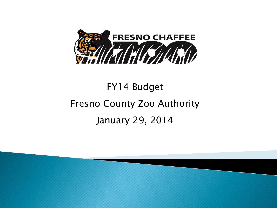

# FY14 Budget Fresno County Zoo Authority January 29, 2014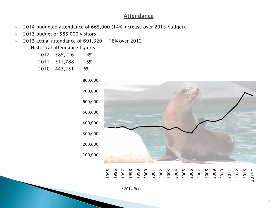#### **Attendance**

- ▶ 2014 budgeted attendance of 665,000 (14% increase over 2013 budget).
- ▶ 2013 budget of 585,000 visitors
- 2013 actual attendance of  $691,320 +18\%$  over 2012
	- Historical attendance figures:
		- $\cdot$  2012 585,226 + 14%
		- $\cdot$  2011 511,788 + 15%
		- $\cdot$  2010 443,251 + 6%



\* 2014 Budget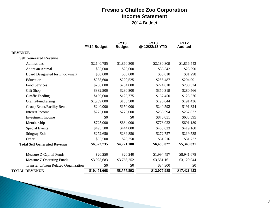### **Fresno's Chaffee Zoo Corporation Income Statement**

2014 Budget

|                                       | FY14 Budget  | <b>FY13</b><br><b>Budget</b> | <b>FY13</b><br>@12/28/13 YTD | <b>FY12</b><br><b>Audited</b> |
|---------------------------------------|--------------|------------------------------|------------------------------|-------------------------------|
| <b>REVENUE</b>                        |              |                              |                              |                               |
| <b>Self Generated Revenue</b>         |              |                              |                              |                               |
| Admissions                            | \$2,140,785  | \$1,860,300                  | \$2,180,309                  | \$1,816,543                   |
| Adopt an Animal                       | \$35,000     | \$25,000                     | \$36,342                     | \$25,290                      |
| Board Designated for Endowment        | \$50,000     | \$50,000                     | \$83,010                     | \$31,298                      |
| Education                             | \$238,600    | \$220,525                    | \$255,487                    | \$204,901                     |
| <b>Food Services</b>                  | \$266,000    | \$234,000                    | \$274,610                    | \$230,324                     |
| Gift Shop                             | \$332,500    | \$280,800                    | \$350,319                    | \$280,566                     |
| Giraffe Feeding                       | \$159,600    | \$125,775                    | \$167,450                    | \$125,276                     |
| Grants/Fundraising                    | \$1,239,000  | \$153,500                    | \$196,644                    | \$191,436                     |
| Group Event/Facility Rental           | \$240,000    | \$150,000                    | \$240,592                    | \$191,324                     |
| <b>Interest Income</b>                | \$275,000    | \$275,000                    | \$266,594                    | \$257,872                     |
| <b>Investment Income</b>              | \$0          | \$0                          | \$876,051                    | \$633,395                     |
| Membership                            | \$725,000    | \$684,000                    | \$778,022                    | \$691,189                     |
| <b>Special Events</b>                 | \$493,100    | \$444,000                    | \$468,623                    | \$419,160                     |
| <b>Stingray Exhibit</b>               | \$272,650    | \$239,850                    | \$272,757                    | \$219,535                     |
| Other                                 | \$55,500     | \$28,350                     | \$51,216                     | \$31,722                      |
| <b>Total Self Generated Revenue</b>   | \$6,522,735  | \$4,771,100                  | \$6,498,027                  | \$5,349,831                   |
| Measure Z-Capital Funds               | \$20,250     | \$20,240                     | \$1,994,497                  | \$8,941,678                   |
| <b>Measure Z Operating Funds</b>      | \$3,928,683  | \$3,766,252                  | \$3,551,161                  | \$3,129,944                   |
| Transfer to/from Related Organization | \$0          | \$0                          | \$34,300                     | \$0                           |
| <b>TOTAL REVENUE</b>                  | \$10,471,668 | \$8,557,592                  | \$12,077,985                 | \$17,421,453                  |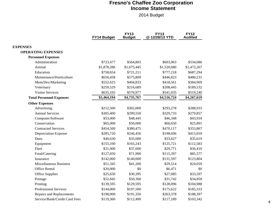#### **Fresno's Chaffee Zoo Corporation Income Statement**

2014 Budget

|                                 | FY14 Budget | <b>FY13</b><br><b>Budget</b> | <b>FY13</b><br>@12/28/13 YTD | <b>FY12</b><br><b>Audited</b> |
|---------------------------------|-------------|------------------------------|------------------------------|-------------------------------|
| <b>EXPENSES</b>                 |             |                              |                              |                               |
| <b>OPERATING EXPENSES</b>       |             |                              |                              |                               |
| <b>Personnel Expenses</b>       |             |                              |                              |                               |
| Administration                  | \$723,477   | \$564,803                    | \$603,963                    | \$534,086                     |
| Animal                          | \$1,878,286 | \$1,675,445                  | \$1,520,680                  | \$1,472,267                   |
| Education                       | \$758,654   | \$721,211                    | \$777,218                    | \$687,294                     |
| Maintenance/Horticulture        | \$656,458   | \$575,809                    | \$446,823                    | \$480,231                     |
| Mem/Dev/Marketing               | \$552,625   | \$404,833                    | \$418,561                    | \$384,969                     |
| Veterinary                      | \$259,529   | \$216,689                    | \$208,445                    | \$189,532                     |
| <b>Visitor Services</b>         | \$635,165   | \$576,977                    | \$541,035                    | \$519,240                     |
| <b>Total Personnel Expenses</b> | \$5,464,194 | \$4,735,767                  | \$4,516,724                  | \$4,267,619                   |
| <b>Other Expenses</b>           |             |                              |                              |                               |
| Advertising                     | \$212,500   | \$302,000                    | \$293,278                    | \$288,933                     |
| <b>Animal Services</b>          | \$305,400   | \$299,550                    | \$329,733                    | \$279,857                     |
| Computer/Software               | \$53,000    | \$48,445                     | \$46,348                     | \$43,934                      |
| Conservation                    | \$65,000    | \$50,000                     | \$66,650                     | \$25,891                      |
| <b>Contracted Services</b>      | \$454,500   | \$380,475                    | \$470,117                    | \$353,867                     |
| <b>Depreciation Expense</b>     | \$285,720   | \$246,456                    | \$198,696                    | \$415,059                     |
| Dues                            | \$40,630    | \$35,600                     | \$33,627                     | \$35,619                      |
| Equipment                       | \$155,100   | \$165,243                    | \$125,721                    | \$112,583                     |
| Fleet                           | \$31,900    | \$37,600                     | \$29,771                     | \$36,410                      |
| Food/Catering                   | \$127,050   | \$71,900                     | \$115,397                    | \$85,577                      |
| Insurance                       | \$142,000   | \$140,000                    | \$131,597                    | \$123,804                     |
| Miscellaneous Business          | \$51,345    | \$41,200                     | \$29,514                     | \$24,059                      |
| Office Rental                   | \$20,000    | \$0                          | \$6,471                      | \$0                           |
| <b>Office Supplies</b>          | \$25,650    | \$30,395                     | \$27,085                     | \$33,597                      |
| Postage                         | \$52,845    | \$50,360                     | \$31,742                     | \$34,850                      |
| Printing                        | \$139,595   | \$129,595                    | \$128,096                    | \$104,988                     |
| <b>Professional Services</b>    | \$144,000   | \$197,500                    | \$175,622                    | \$185,333                     |
| Repairs and Replacements        | \$198,000   | \$191,350                    | \$263,378                    | \$188,397                     |
| Service/Bank/Credit Card Fees   | \$119,360   | \$112,490                    | \$117,189                    | \$103,342                     |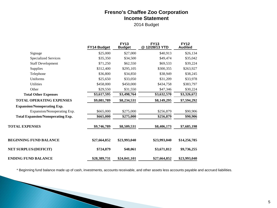#### **Fresno's Chaffee Zoo Corporation Income Statement**

2014 Budget

|                                          | FY14 Budget  | <b>FY13</b><br><b>Budget</b> | <b>FY13</b><br>@12/28/13 YTD | <b>FY12</b><br><b>Audited</b> |
|------------------------------------------|--------------|------------------------------|------------------------------|-------------------------------|
| Signage                                  | \$25,000     | \$27,000                     | \$40,913                     | \$26,134                      |
| <b>Specialized Services</b>              | \$35,350     | \$34,500                     | \$49,474                     | \$35,042                      |
| <b>Staff Development</b>                 | \$71,250     | \$62,550                     | \$69,533                     | \$39,224                      |
| Supplies                                 | \$312,400    | \$295,105                    | \$300,355                    | \$263,927                     |
| Telephone                                | \$36,800     | \$34,850                     | \$38,949                     | \$38,245                      |
| Uniforms                                 | \$25,650     | \$33,050                     | \$31,209                     | \$33,978                      |
| Utilities                                | \$458,000    | \$450,000                    | \$434,758                    | \$383,797                     |
| Other                                    | \$29,550     | \$31,550                     | \$47,346                     | \$30,224                      |
| <b>Total Other Expenses</b>              | \$3,617,595  | \$3,498,764                  | \$3,632,570                  | \$3,326,672                   |
| <b>TOTAL OPERATING EXPENSES</b>          | \$9,081,789  | \$8,234,531                  | \$8,149,295                  | \$7,594,292                   |
| <b>Expansion/Nonoperating Exp.</b>       |              |                              |                              |                               |
| Expansion/Nonoperating Exp.              | \$665,000    | \$275,000                    | \$256,879                    | \$90,906                      |
| <b>Total Expansion/Nonoperating Exp.</b> | \$665,000    | \$275,000                    | \$256,879                    | \$90,906                      |
| <b>TOTAL EXPENSES</b>                    | \$9,746,789  | \$8,509,531                  | \$8,406,173                  | \$7,685,198                   |
| <b>BEGINNING FUND BALANCE</b>            | \$27,664,852 | \$23,993,040                 | \$23,993,040                 | \$14,256,785                  |
| <b>NET SURPLUS/(DEFICIT)</b>             | \$724,879    | \$48,061                     | \$3,671,812                  | \$9,736,255                   |
| ENDING FUND BALANCE                      | \$28,389,731 | \$24,041,101                 | \$27,664,852                 | \$23,993,040                  |

and the contract of the contract of

\* Beginning fund balance made up of cash, investments, accounts receivable, and other assets less accounts payable and accrued liabilities.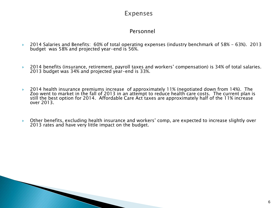### Expenses

### Personnel

- 2014 Salaries and Benefits: 60% of total operating expenses (industry benchmark of 58% 63%). 2013 budget was 58% and projected year-end is 56%.
- 2014 benefits (insurance, retirement, payroll taxes and workers' compensation) is 34% of total salaries. 2013 budget was 34% and projected year-end is 33%.
- 2014 health insurance premiums increase of approximately 11% (negotiated down from 14%). The Zoo went to market in the fall of 2013 in an attempt to reduce health care costs. The current plan is still the best option for 2014. Affordable Care Act taxes are approximately half of the 11% increase over 2013.
- Other benefits, excluding health insurance and workers' comp, are expected to increase slightly over 2013 rates and have very little impact on the budget.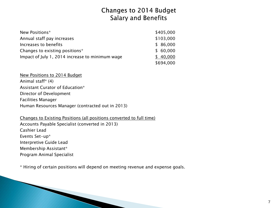### **Changes to 2014 Budget Salary and Benefits**

| New Positions*                                  | \$405,000 |
|-------------------------------------------------|-----------|
| Annual staff pay increases                      | \$103,000 |
| Increases to benefits                           | \$86,000  |
| Changes to existing positions*                  | \$60,000  |
| Impact of July 1, 2014 increase to minimum wage | \$40,000  |
|                                                 | \$694,000 |

New Positions to 2014 Budget Animal staff\* (4) Assistant Curator of Education\* Director of Development Facilities Manager Human Resources Manager (contracted out in 2013)

Changes to Existing Positions (all positions converted to full time) Accounts Payable Specialist (converted in 2013) Cashier Lead Events Set-up\* Interpretive Guide Lead Membership Assistant\* Program Animal Specialist

\* Hiring of certain positions will depend on meeting revenue and expense goals.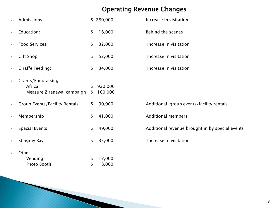# Operating Revenue Changes

|    | Admissions:                                                 |          | \$280,000          | Increase in visitation                          |
|----|-------------------------------------------------------------|----------|--------------------|-------------------------------------------------|
| Þ  | Education:                                                  | \$       | 18,000             | <b>Behind the scenes</b>                        |
| Þ  | <b>Food Services:</b>                                       | \$       | 32,000             | Increase in visitation                          |
| Þ  | <b>Gift Shop</b>                                            | \$       | 52,000             | Increase in visitation                          |
| Þ  | <b>Giraffe Feeding:</b>                                     | \$       | 34,000             | Increase in visitation                          |
| Þ  | Grants/Fundraising:<br>Africa<br>Measure Z renewal campaign | \$<br>\$ | 920,000<br>100,000 |                                                 |
| Þ  | <b>Group Events/Facility Rentals</b>                        | \$       | 90,000             | Additional group events/facility rentals        |
| Þ  | Membership                                                  | \$       | 41,000             | <b>Additional members</b>                       |
| Þ. | <b>Special Events</b>                                       | \$       | 49,000             | Additional revenue brought in by special events |
| Þ  | Stingray Bay                                                | \$       | 33,000             | Increase in visitation                          |
| ь  | Other<br>Vending<br>Photo Booth                             | S<br>\$  | 17,000<br>8,000    |                                                 |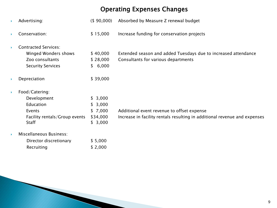# Operating Expenses Changes

| Advertising:                                                                                          | $($ \$ 90,000)                                       | Absorbed by Measure Z renewal budget                                                                                    |
|-------------------------------------------------------------------------------------------------------|------------------------------------------------------|-------------------------------------------------------------------------------------------------------------------------|
| Conservation:                                                                                         | \$15,000                                             | Increase funding for conservation projects                                                                              |
| <b>Contracted Services:</b><br>Winged Wonders shows<br>Zoo consultants<br><b>Security Services</b>    | \$40,000<br>\$28,000<br>\$6,000                      | Extended season and added Tuesdays due to increased attendance<br>Consultants for various departments                   |
| Depreciation                                                                                          | \$39,000                                             |                                                                                                                         |
| Food/Catering:<br>Development<br>Education<br>Events<br>Facility rentals/Group events<br><b>Staff</b> | \$3,000<br>\$3,000<br>\$7,000<br>\$34,000<br>\$3,000 | Additional event revenue to offset expense<br>Increase in facility rentals resulting in additional revenue and expenses |

**Miscellaneous Business:** 

| Director discretionary | \$5,000 |
|------------------------|---------|
| Recruiting             | \$2,000 |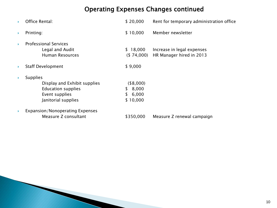# Operating Expenses Changes continued

|    | Office Rental:                                                                                                        | \$20,000                                            | Rent for temporary administration office               |
|----|-----------------------------------------------------------------------------------------------------------------------|-----------------------------------------------------|--------------------------------------------------------|
| Þ. | Printing:                                                                                                             | \$10,000                                            | Member newsletter                                      |
|    | <b>Professional Services</b><br>Legal and Audit<br><b>Human Resources</b>                                             | \$18,000<br>( \$74,000)                             | Increase in legal expenses<br>HR Manager hired in 2013 |
|    | <b>Staff Development</b>                                                                                              | \$9,000                                             |                                                        |
|    | <b>Supplies</b><br>Display and Exhibit supplies<br><b>Education supplies</b><br>Event supplies<br>Janitorial supplies | (\$8,000)<br>8,000<br>S.<br>6,000<br>S.<br>\$10,000 |                                                        |
|    | Expansion/Nonoperating Expenses<br>Measure Z consultant                                                               | \$350,000                                           | Measure Z renewal campaign                             |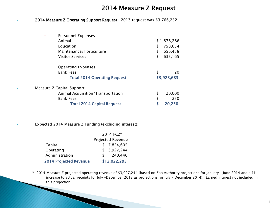### 2014 Measure Z Request

#### ◆ 2014 Measure Z Operating Support Request: 2013 request was \$3,766,252

| Personnel Expenses:                 |    |             |
|-------------------------------------|----|-------------|
| Animal                              |    | \$1,878,286 |
| Education                           | \$ | 758,654     |
| Maintenance/Horticulture            | S  | 656,458     |
| <b>Visitor Services</b>             | \$ | 635,165     |
| <b>Operating Expenses:</b><br>٠     |    |             |
| <b>Bank Fees</b>                    |    | 120         |
| <b>Total 2014 Operating Request</b> |    | \$3,928,683 |
| Measure Z Capital Support:          |    |             |
| Animal Acquisition/Transportation   | \$ | 20,000      |
| <b>Bank Fees</b>                    |    | 250         |
| <b>Total 2014 Capital Request</b>   |    | 20,250      |

#### Expected 2014 Measure Z Funding (excluding interest):

**The Common Street, Inc.** 

|                               | 2014 FCZ*         |
|-------------------------------|-------------------|
|                               | Projected Revenue |
| Capital                       | \$7,854,605       |
| Operating                     | \$3,927,244       |
| Administration                | 240,446           |
| <b>2014 Projected Revenue</b> | \$12,022,295      |

\* 2014 Measure Z projected operating revenue of \$3,927,244 (based on Zoo Authority projections for January – June 2014 and a 1% increase to actual receipts for July –December 2013 as projections for July – December 2014). Earned interest not included in this projection.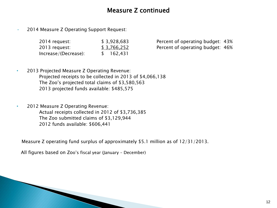### Measure Z continued

• 2014 Measure Z Operating Support Request:

| 2014 request:        | \$3,928,683   |
|----------------------|---------------|
| 2013 request:        | \$3,766,252   |
| Increase/(Decrease): | 162,431<br>S. |

Percent of operating budget: 43% Percent of operating budget: 46%

- 2013 Projected Measure Z Operating Revenue: Projected receipts to be collected in 2013 of \$4,066,138 The Zoo's projected total claims of \$3,580,563 2013 projected funds available: \$485,575
- 2012 Measure Z Operating Revenue: Actual receipts collected in 2012 of \$3,736,385 The Zoo submitted claims of \$3,129,944 2012 funds available: \$606,441

Measure Z operating fund surplus of approximately \$5.1 million as of 12/31/2013.

All figures based on Zoo's fiscal year (January – December)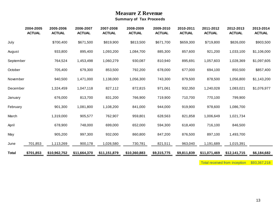#### **Measure Z Revenue Summary of Tax Proceeds**

|              | 2004-2005<br><b>ACTUAL</b> | 2005-2006<br><b>ACTUAL</b> | 2006-2007<br><b>ACTUAL</b> | 2007-2008<br><b>ACTUAL</b> | 2008-2009<br><b>ACTUAL</b> | 2009-2010<br><b>ACTUAL</b> | 2010-2011<br><b>ACTUAL</b> | 2011-2012<br><b>ACTUAL</b> | 2012-2013<br><b>ACTUAL</b> | 2013-2014<br><b>ACTUAL</b> |
|--------------|----------------------------|----------------------------|----------------------------|----------------------------|----------------------------|----------------------------|----------------------------|----------------------------|----------------------------|----------------------------|
| July         |                            | \$700,400                  | \$671,500                  | \$819,900                  | \$813,500                  | \$671,700                  | \$659,300                  | \$719,800                  | \$826,000                  | \$903,500                  |
| August       |                            | 933,800                    | 895,400                    | 1,093,200                  | 1,084,700                  | 885,300                    | 857,600                    | 921,200                    | 1,033,100                  | \$1,106,000                |
| September    |                            | 764,524                    | 1,453,498                  | 1,060,279                  | 930,087                    | 810,940                    | 895,691                    | 1,057,603                  | 1,028,369                  | \$1,097,605                |
| October      |                            | 705,400                    | 679,300                    | 853,500                    | 792,200                    | 678,000                    | 677,000                    | 694,100                    | 850,500                    | \$857,400                  |
| November     |                            | 940,500                    | 1,471,000                  | 1,138,000                  | 1,056,300                  | 743,300                    | 879,500                    | 878,500                    | 1,056,800                  | \$1,143,200                |
| December     |                            | 1,324,459                  | 1,047,118                  | 827,112                    | 872,815                    | 971,061                    | 932,350                    | 1,240,028                  | 1,083,021                  | \$1,076,977                |
| January      |                            | 676,000                    | 813,700                    | 831,200                    | 766,900                    | 719,900                    | 710,700                    | 770,100                    | 799,900                    |                            |
| February     |                            | 901,300                    | 1,081,800                  | 1,108,200                  | 841,000                    | 944,000                    | 919,900                    | 978,600                    | 1,086,700                  |                            |
| March        |                            | 1,319,000                  | 905,577                    | 762,907                    | 959,801                    | 628,563                    | 821,858                    | 1,006,649                  | 1,021,734                  |                            |
| April        |                            | 678,900                    | 748,000                    | 699,000                    | 652,000                    | 594,300                    | 618,400                    | 716,100                    | 846,500                    |                            |
| May          |                            | 905,200                    | 997,300                    | 932,000                    | 860,800                    | 847,200                    | 876,500                    | 897,100                    | 1,493,700                  |                            |
| June         | 701,853                    | 1,113,269                  | 900,178                    | 1,026,580                  | 730,781                    | 821,511                    | 963,040                    | 1,191,689                  | 1,015,391                  |                            |
| <b>Total</b> | \$701,853                  | \$10,962,752               | \$11,664,370               | \$11,151,879               | \$10,360,883               | \$9,315,775                | \$9,811,839                | \$11,071,469               | \$12,141,715               | \$6,184,682                |

Total received from inception \$93,367,218